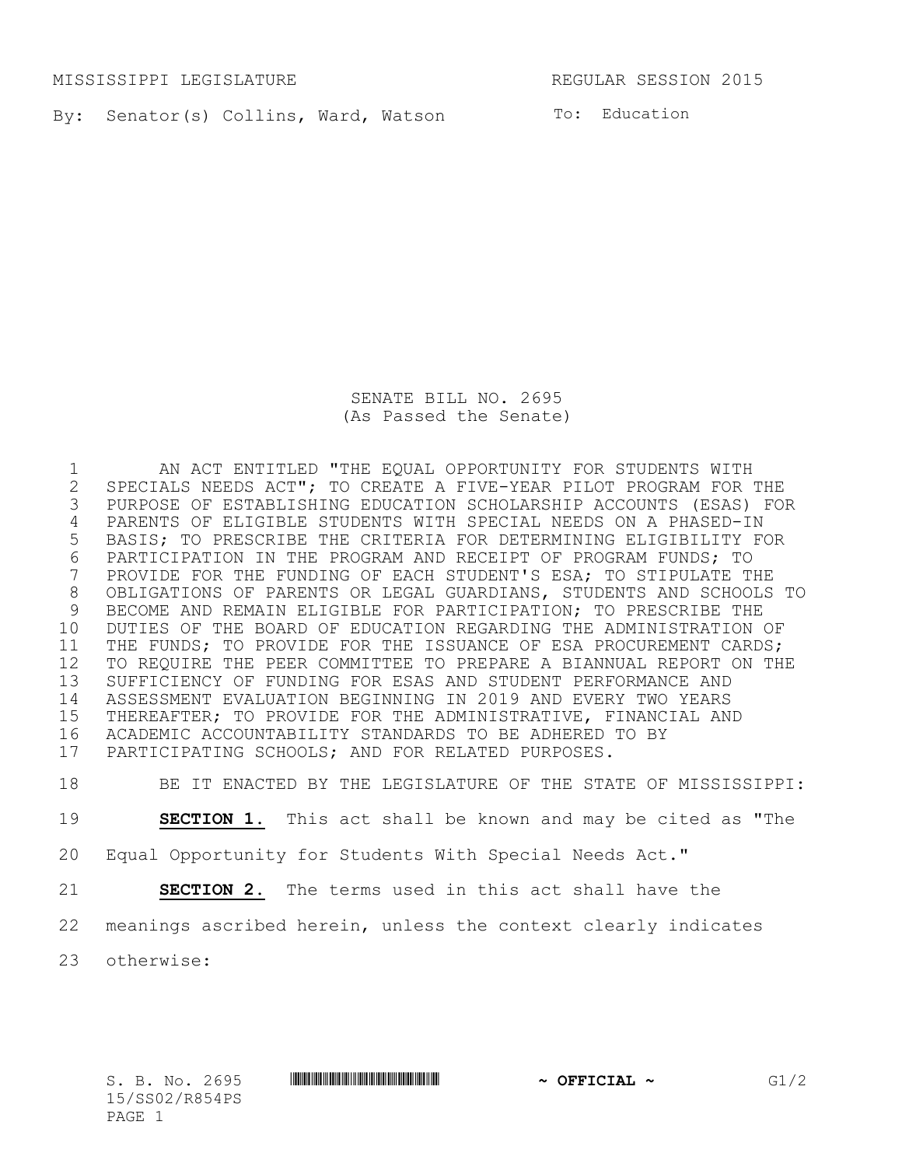MISSISSIPPI LEGISLATURE **REGULAR SESSION 2015** 

By: Senator(s) Collins, Ward, Watson To: Education

SENATE BILL NO. 2695 (As Passed the Senate)

 AN ACT ENTITLED "THE EQUAL OPPORTUNITY FOR STUDENTS WITH 2 SPECIALS NEEDS ACT"; TO CREATE A FIVE-YEAR PILOT PROGRAM FOR THE<br>3 PURPOSE OF ESTABLISHING EDUCATION SCHOLARSHIP ACCOUNTS (ESAS) FO PURPOSE OF ESTABLISHING EDUCATION SCHOLARSHIP ACCOUNTS (ESAS) FOR PARENTS OF ELIGIBLE STUDENTS WITH SPECIAL NEEDS ON A PHASED-IN BASIS; TO PRESCRIBE THE CRITERIA FOR DETERMINING ELIGIBILITY FOR 6 PARTICIPATION IN THE PROGRAM AND RECEIPT OF PROGRAM FUNDS; TO<br>7 PROVIDE FOR THE FUNDING OF EACH STUDENT'S ESA; TO STIPULATE TH PROVIDE FOR THE FUNDING OF EACH STUDENT'S ESA; TO STIPULATE THE OBLIGATIONS OF PARENTS OR LEGAL GUARDIANS, STUDENTS AND SCHOOLS TO BECOME AND REMAIN ELIGIBLE FOR PARTICIPATION; TO PRESCRIBE THE DUTIES OF THE BOARD OF EDUCATION REGARDING THE ADMINISTRATION OF THE FUNDS; TO PROVIDE FOR THE ISSUANCE OF ESA PROCUREMENT CARDS; TO REQUIRE THE PEER COMMITTEE TO PREPARE A BIANNUAL REPORT ON THE SUFFICIENCY OF FUNDING FOR ESAS AND STUDENT PERFORMANCE AND ASSESSMENT EVALUATION BEGINNING IN 2019 AND EVERY TWO YEARS THEREAFTER; TO PROVIDE FOR THE ADMINISTRATIVE, FINANCIAL AND ACADEMIC ACCOUNTABILITY STANDARDS TO BE ADHERED TO BY PARTICIPATING SCHOOLS; AND FOR RELATED PURPOSES.

BE IT ENACTED BY THE LEGISLATURE OF THE STATE OF MISSISSIPPI:

**SECTION 1.** This act shall be known and may be cited as "The

Equal Opportunity for Students With Special Needs Act."

**SECTION 2.** The terms used in this act shall have the

meanings ascribed herein, unless the context clearly indicates

otherwise: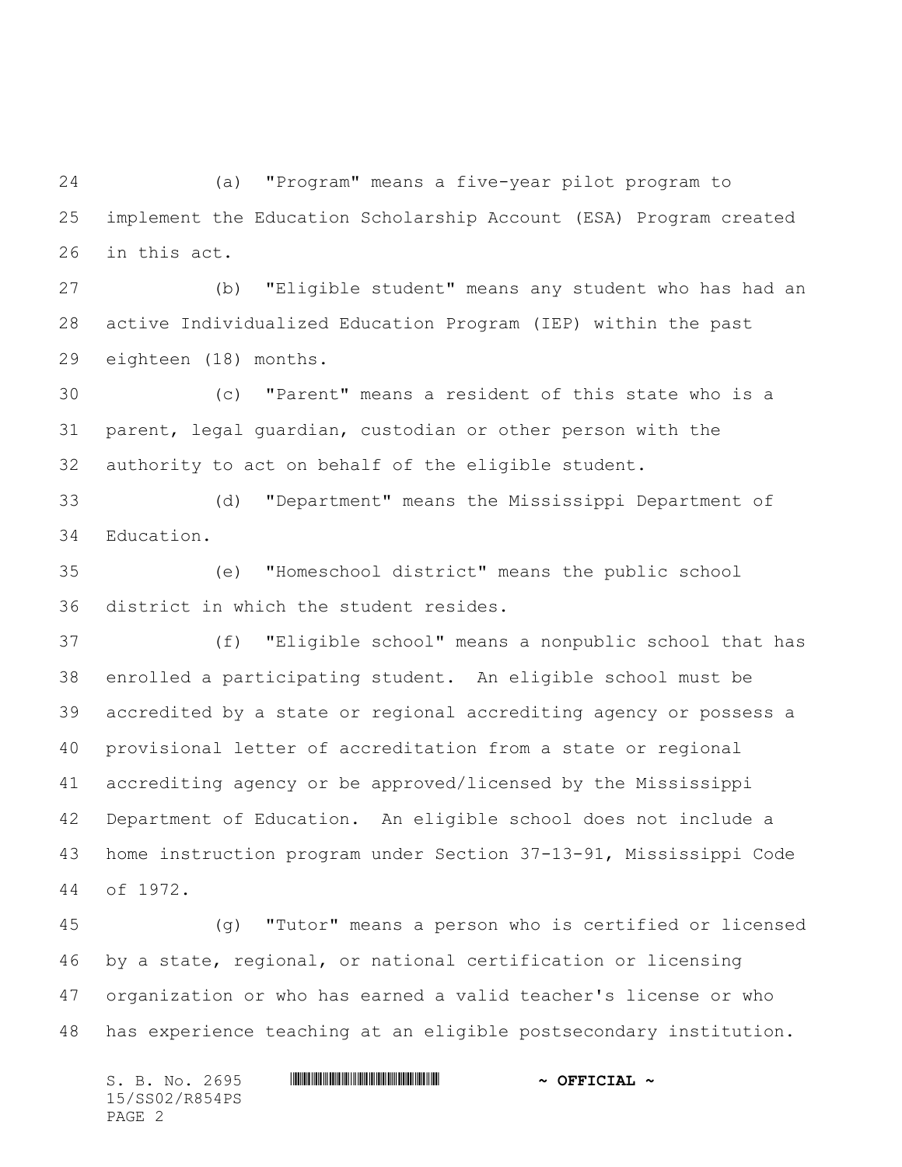(a) "Program" means a five-year pilot program to implement the Education Scholarship Account (ESA) Program created in this act.

 (b) "Eligible student" means any student who has had an active Individualized Education Program (IEP) within the past eighteen (18) months.

 (c) "Parent" means a resident of this state who is a parent, legal guardian, custodian or other person with the authority to act on behalf of the eligible student.

 (d) "Department" means the Mississippi Department of Education.

 (e) "Homeschool district" means the public school district in which the student resides.

 (f) "Eligible school" means a nonpublic school that has enrolled a participating student. An eligible school must be accredited by a state or regional accrediting agency or possess a provisional letter of accreditation from a state or regional accrediting agency or be approved/licensed by the Mississippi Department of Education. An eligible school does not include a home instruction program under Section 37-13-91, Mississippi Code of 1972.

 (g) "Tutor" means a person who is certified or licensed by a state, regional, or national certification or licensing organization or who has earned a valid teacher's license or who has experience teaching at an eligible postsecondary institution.

S. B. No. 2695 **\*\*\* ASSEMBER ASSESSMENT ASSESSMENT ASSESSMENT ASSESSMENT ASSESSMENT ASSESSMENT ASSESSMENT AND ASSESSMENT AND ASSESSMENT AND ASSESSMENT AND AN OFFICIAL**  $\sim$ 15/SS02/R854PS PAGE 2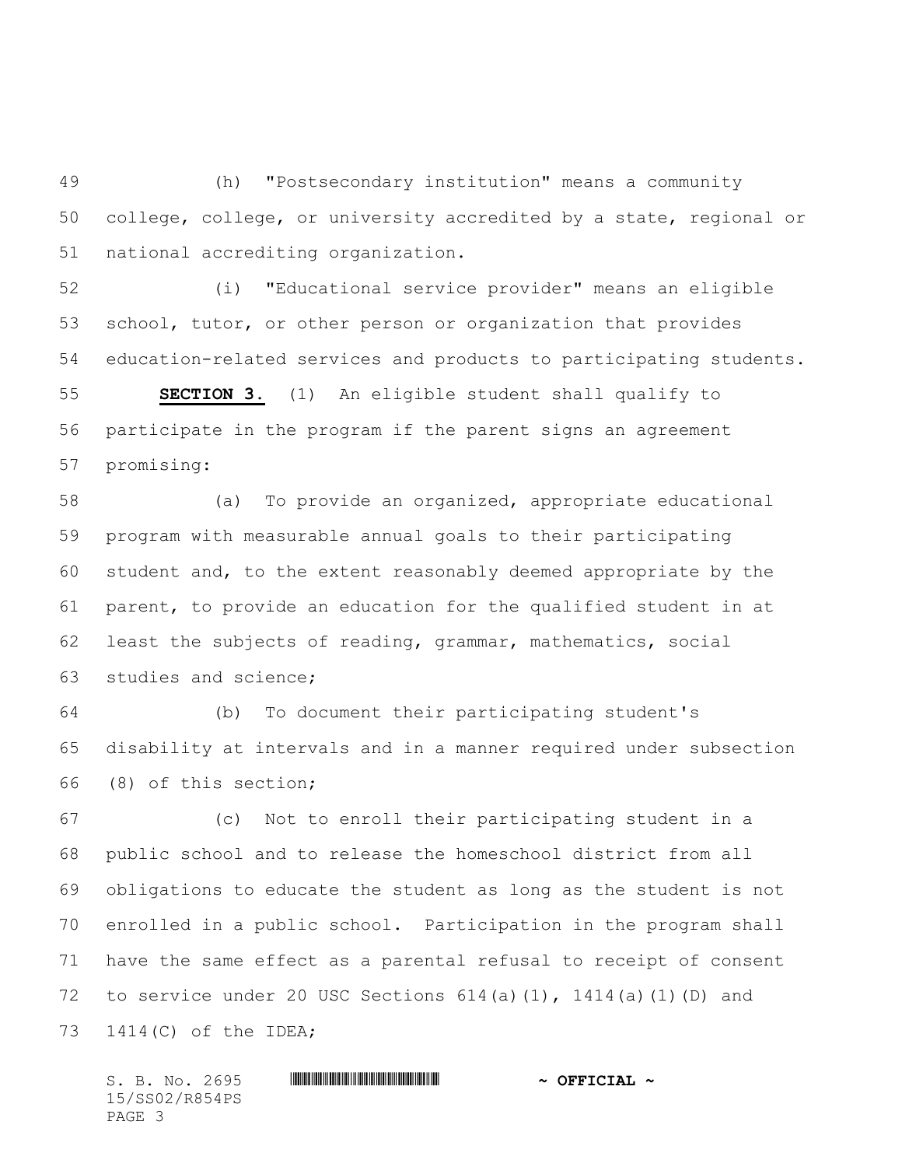(h) "Postsecondary institution" means a community college, college, or university accredited by a state, regional or national accrediting organization.

 (i) "Educational service provider" means an eligible school, tutor, or other person or organization that provides education-related services and products to participating students.

 **SECTION 3.** (1) An eligible student shall qualify to participate in the program if the parent signs an agreement promising:

 (a) To provide an organized, appropriate educational program with measurable annual goals to their participating student and, to the extent reasonably deemed appropriate by the parent, to provide an education for the qualified student in at least the subjects of reading, grammar, mathematics, social studies and science;

 (b) To document their participating student's disability at intervals and in a manner required under subsection (8) of this section;

 (c) Not to enroll their participating student in a public school and to release the homeschool district from all obligations to educate the student as long as the student is not enrolled in a public school. Participation in the program shall have the same effect as a parental refusal to receipt of consent 72 to service under 20 USC Sections  $614(a)(1)$ ,  $1414(a)(1)(D)$  and 1414(C) of the IDEA;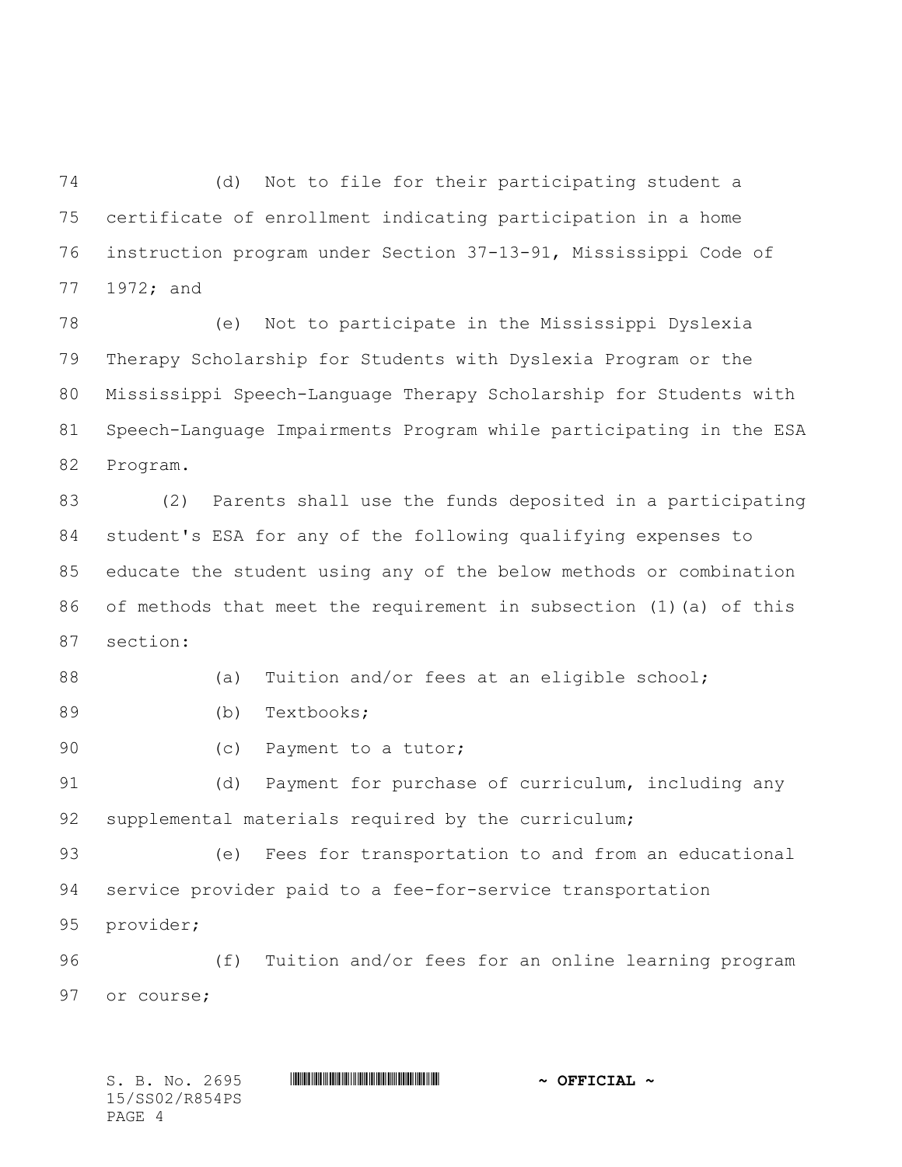(d) Not to file for their participating student a certificate of enrollment indicating participation in a home instruction program under Section 37-13-91, Mississippi Code of 1972; and

 (e) Not to participate in the Mississippi Dyslexia Therapy Scholarship for Students with Dyslexia Program or the Mississippi Speech-Language Therapy Scholarship for Students with Speech-Language Impairments Program while participating in the ESA Program.

 (2) Parents shall use the funds deposited in a participating student's ESA for any of the following qualifying expenses to educate the student using any of the below methods or combination of methods that meet the requirement in subsection (1)(a) of this section:

88 (a) Tuition and/or fees at an eligible school;

(b) Textbooks;

90 (c) Payment to a tutor;

91 (d) Payment for purchase of curriculum, including any supplemental materials required by the curriculum;

 (e) Fees for transportation to and from an educational service provider paid to a fee-for-service transportation provider;

 (f) Tuition and/or fees for an online learning program or course;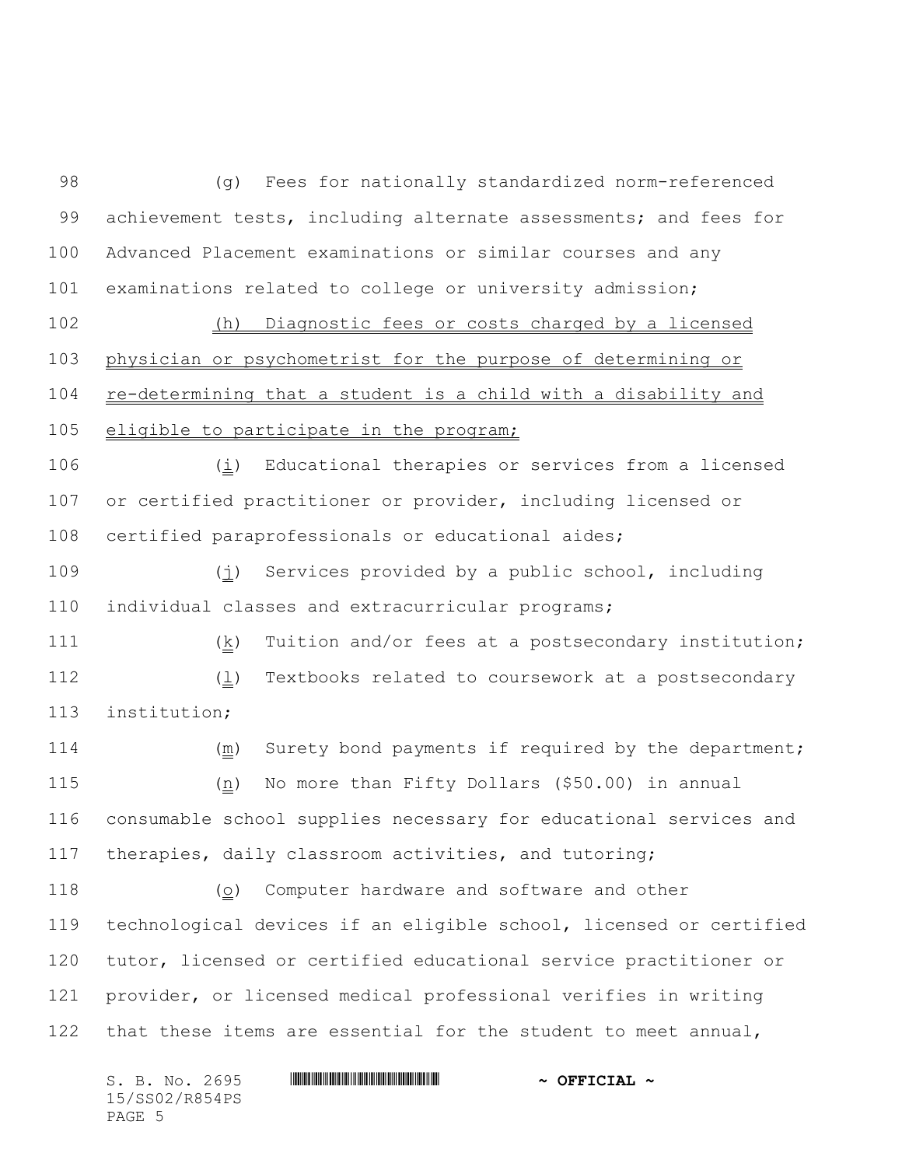(g) Fees for nationally standardized norm-referenced achievement tests, including alternate assessments; and fees for Advanced Placement examinations or similar courses and any examinations related to college or university admission; (h) Diagnostic fees or costs charged by a licensed

104 re-determining that a student is a child with a disability and 105 eligible to participate in the program;

physician or psychometrist for the purpose of determining or

106  $(i)$  Educational therapies or services from a licensed or certified practitioner or provider, including licensed or certified paraprofessionals or educational aides;

 (j) Services provided by a public school, including individual classes and extracurricular programs;

 (k) Tuition and/or fees at a postsecondary institution; 112  $(\underline{1})$  Textbooks related to coursework at a postsecondary institution;

114 (m) Surety bond payments if required by the department;  $(n)$  No more than Fifty Dollars (\$50.00) in annual consumable school supplies necessary for educational services and therapies, daily classroom activities, and tutoring;

118  $(o)$  Computer hardware and software and other technological devices if an eligible school, licensed or certified 120 tutor, licensed or certified educational service practitioner or provider, or licensed medical professional verifies in writing 122 that these items are essential for the student to meet annual,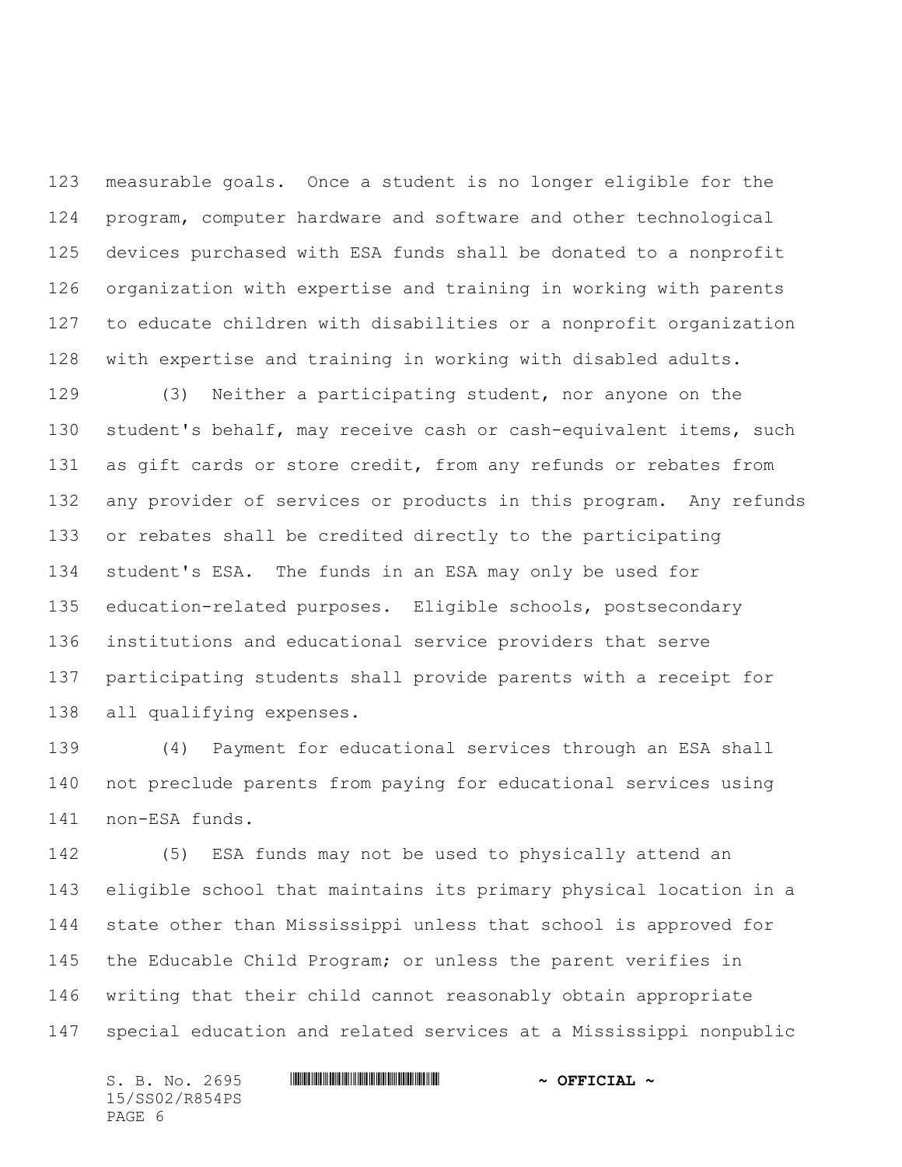measurable goals. Once a student is no longer eligible for the program, computer hardware and software and other technological devices purchased with ESA funds shall be donated to a nonprofit organization with expertise and training in working with parents to educate children with disabilities or a nonprofit organization with expertise and training in working with disabled adults.

 (3) Neither a participating student, nor anyone on the student's behalf, may receive cash or cash-equivalent items, such 131 as gift cards or store credit, from any refunds or rebates from any provider of services or products in this program. Any refunds or rebates shall be credited directly to the participating student's ESA. The funds in an ESA may only be used for education-related purposes. Eligible schools, postsecondary institutions and educational service providers that serve participating students shall provide parents with a receipt for all qualifying expenses.

 (4) Payment for educational services through an ESA shall not preclude parents from paying for educational services using non-ESA funds.

 (5) ESA funds may not be used to physically attend an eligible school that maintains its primary physical location in a state other than Mississippi unless that school is approved for the Educable Child Program; or unless the parent verifies in writing that their child cannot reasonably obtain appropriate special education and related services at a Mississippi nonpublic

S. B. No. 2695 **\*\*\* ASSEMBER ASSESSMENT ASSESSMENT ASSESSMENT ASSESSMENT ASSESSMENT ASSESSMENT ASSESSMENT AND ASSESSMENT AND ASSESSMENT AND ASSESSMENT AND AN OFFICIAL**  $\sim$ 15/SS02/R854PS

PAGE 6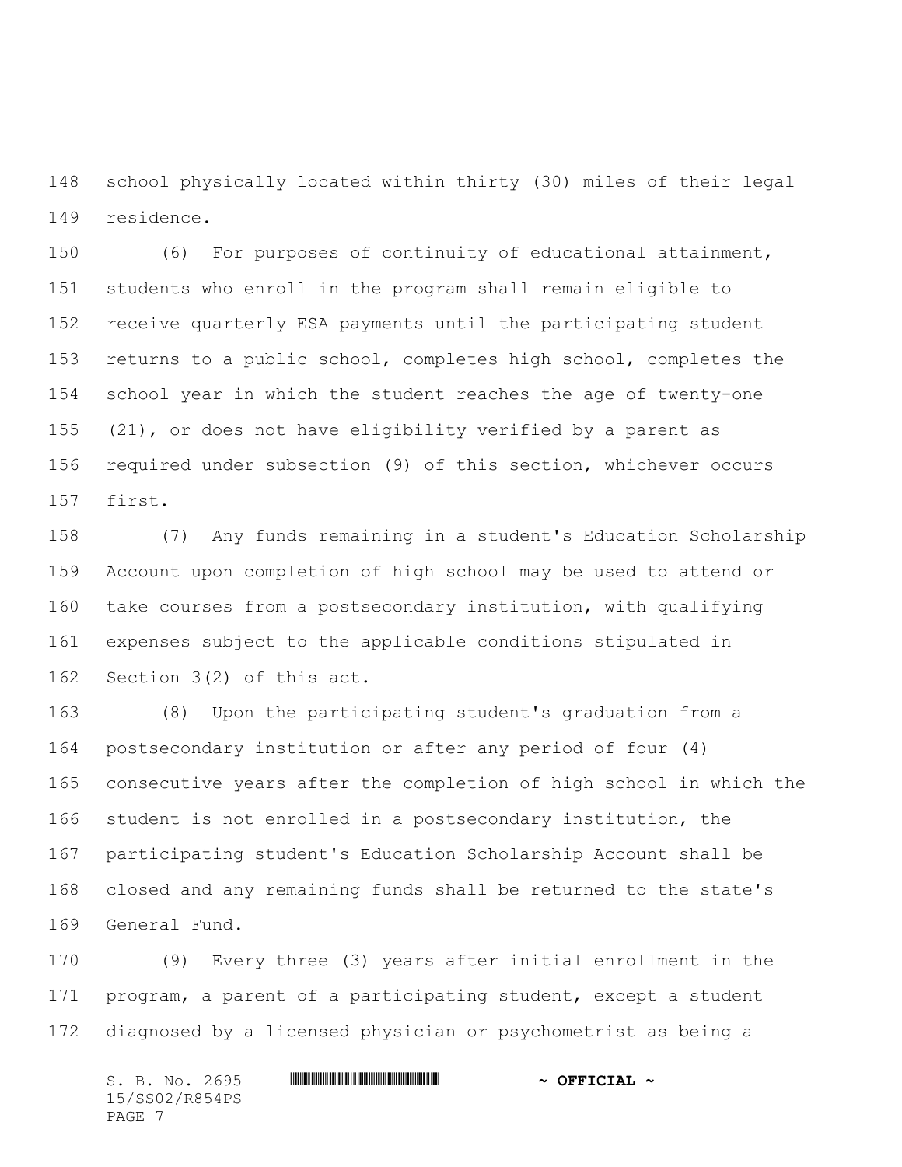school physically located within thirty (30) miles of their legal residence.

 (6) For purposes of continuity of educational attainment, students who enroll in the program shall remain eligible to receive quarterly ESA payments until the participating student returns to a public school, completes high school, completes the school year in which the student reaches the age of twenty-one (21), or does not have eligibility verified by a parent as required under subsection (9) of this section, whichever occurs first.

 (7) Any funds remaining in a student's Education Scholarship Account upon completion of high school may be used to attend or take courses from a postsecondary institution, with qualifying expenses subject to the applicable conditions stipulated in Section 3(2) of this act.

 (8) Upon the participating student's graduation from a postsecondary institution or after any period of four (4) consecutive years after the completion of high school in which the student is not enrolled in a postsecondary institution, the participating student's Education Scholarship Account shall be closed and any remaining funds shall be returned to the state's General Fund.

 (9) Every three (3) years after initial enrollment in the program, a parent of a participating student, except a student diagnosed by a licensed physician or psychometrist as being a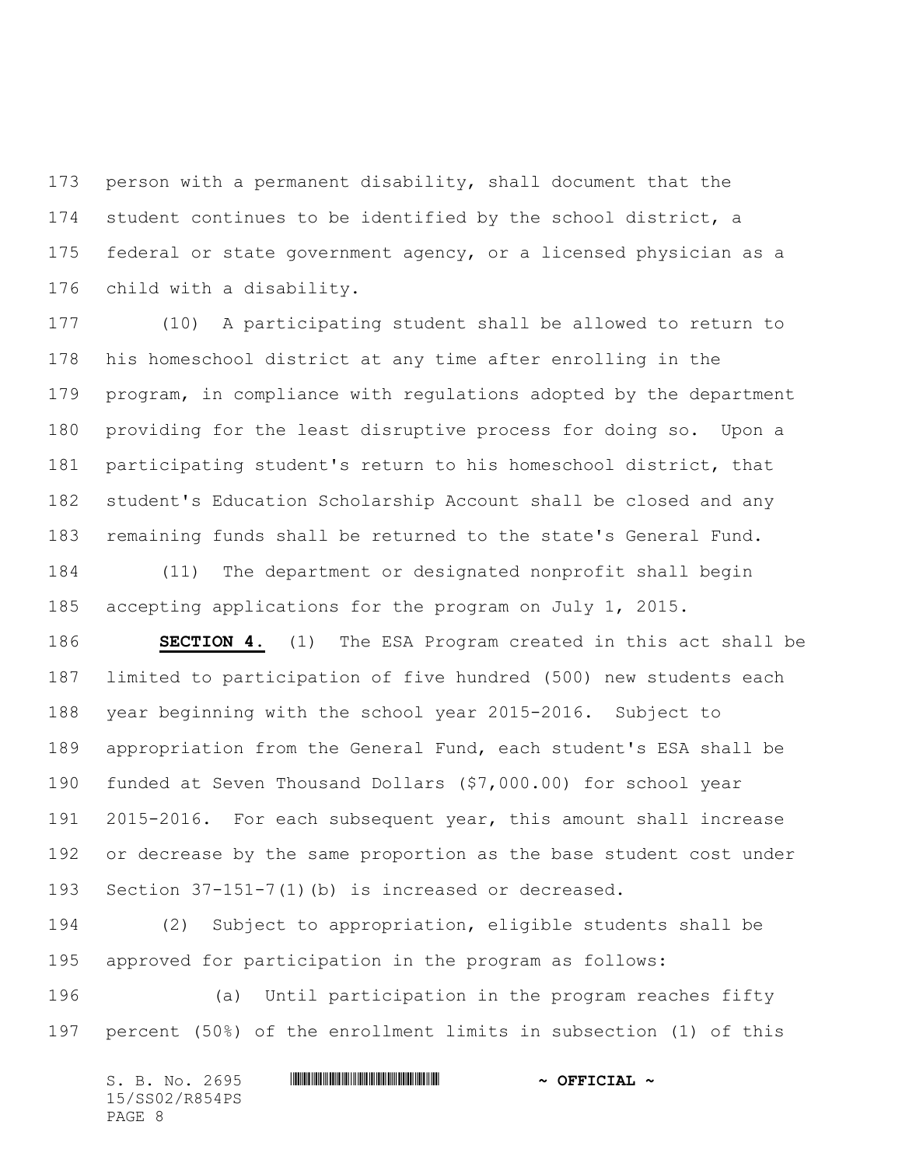person with a permanent disability, shall document that the student continues to be identified by the school district, a federal or state government agency, or a licensed physician as a child with a disability.

 (10) A participating student shall be allowed to return to his homeschool district at any time after enrolling in the program, in compliance with regulations adopted by the department providing for the least disruptive process for doing so. Upon a participating student's return to his homeschool district, that student's Education Scholarship Account shall be closed and any remaining funds shall be returned to the state's General Fund.

 (11) The department or designated nonprofit shall begin accepting applications for the program on July 1, 2015.

 **SECTION 4.** (1) The ESA Program created in this act shall be limited to participation of five hundred (500) new students each year beginning with the school year 2015-2016. Subject to appropriation from the General Fund, each student's ESA shall be funded at Seven Thousand Dollars (\$7,000.00) for school year 2015-2016. For each subsequent year, this amount shall increase or decrease by the same proportion as the base student cost under Section 37-151-7(1)(b) is increased or decreased.

 (2) Subject to appropriation, eligible students shall be approved for participation in the program as follows:

 (a) Until participation in the program reaches fifty percent (50%) of the enrollment limits in subsection (1) of this

| S. B. No. 2695 | $\sim$ OFFICIAL $\sim$ |
|----------------|------------------------|
| 15/SS02/R854PS |                        |
| PAGE 8         |                        |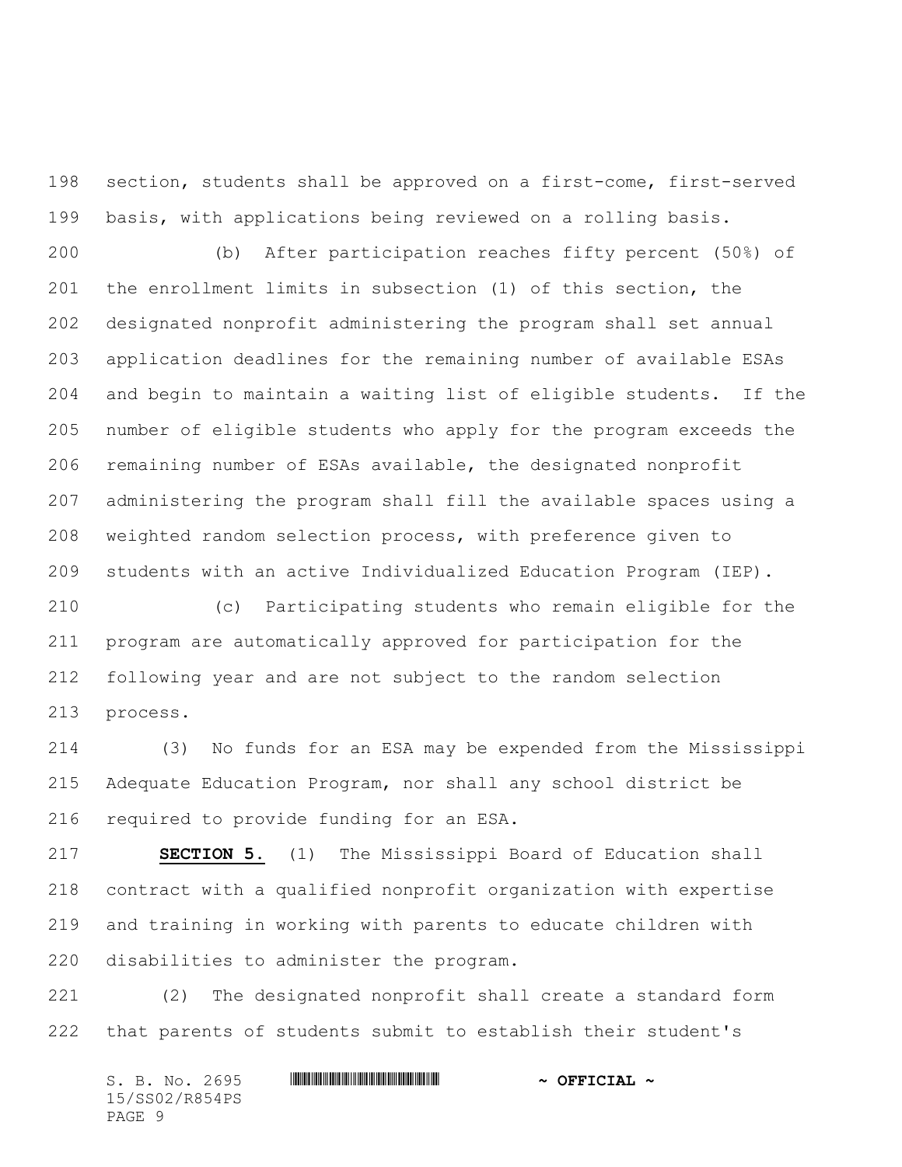section, students shall be approved on a first-come, first-served basis, with applications being reviewed on a rolling basis.

 (b) After participation reaches fifty percent (50%) of the enrollment limits in subsection (1) of this section, the designated nonprofit administering the program shall set annual application deadlines for the remaining number of available ESAs and begin to maintain a waiting list of eligible students. If the number of eligible students who apply for the program exceeds the remaining number of ESAs available, the designated nonprofit administering the program shall fill the available spaces using a weighted random selection process, with preference given to students with an active Individualized Education Program (IEP).

 (c) Participating students who remain eligible for the program are automatically approved for participation for the following year and are not subject to the random selection process.

 (3) No funds for an ESA may be expended from the Mississippi Adequate Education Program, nor shall any school district be required to provide funding for an ESA.

 **SECTION 5.** (1) The Mississippi Board of Education shall contract with a qualified nonprofit organization with expertise and training in working with parents to educate children with disabilities to administer the program.

 (2) The designated nonprofit shall create a standard form that parents of students submit to establish their student's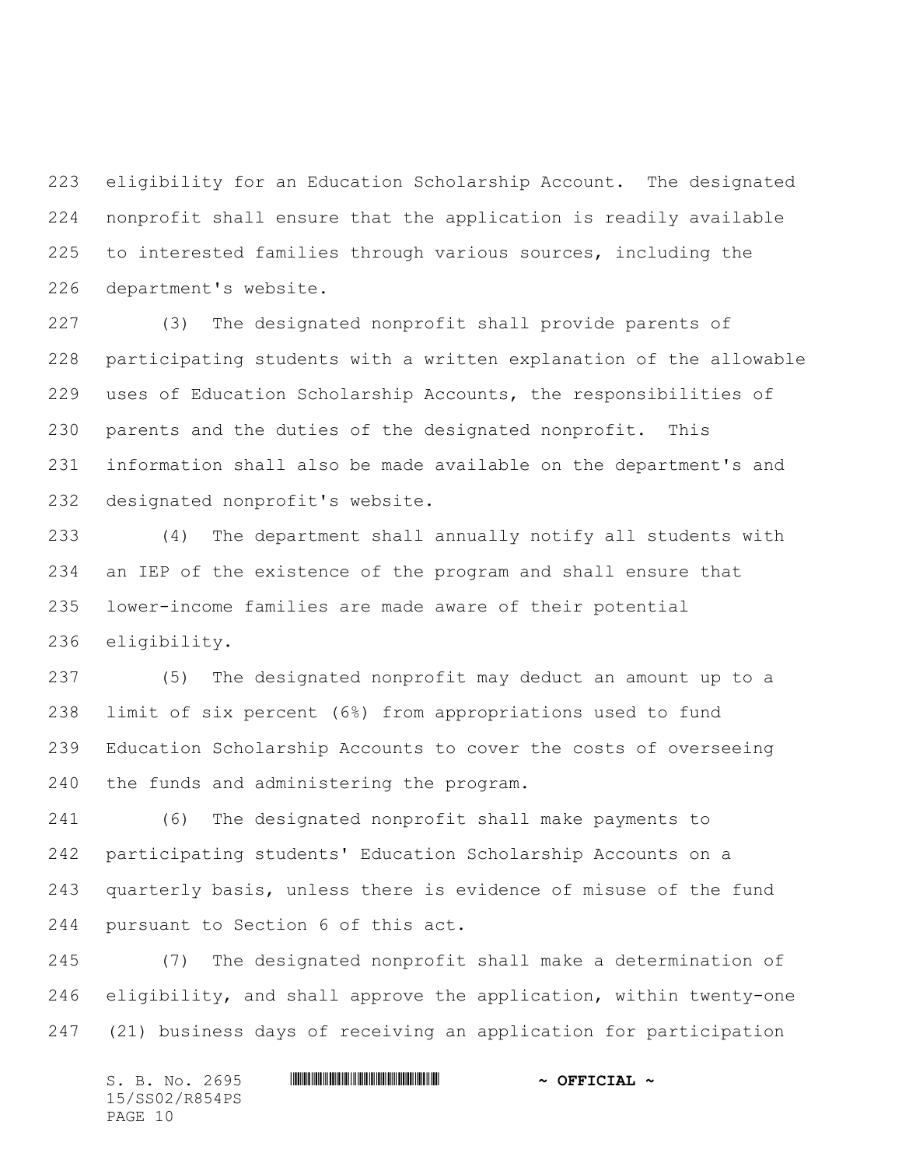eligibility for an Education Scholarship Account. The designated nonprofit shall ensure that the application is readily available to interested families through various sources, including the department's website.

 (3) The designated nonprofit shall provide parents of participating students with a written explanation of the allowable uses of Education Scholarship Accounts, the responsibilities of parents and the duties of the designated nonprofit. This information shall also be made available on the department's and designated nonprofit's website.

 (4) The department shall annually notify all students with an IEP of the existence of the program and shall ensure that lower-income families are made aware of their potential eligibility.

 (5) The designated nonprofit may deduct an amount up to a limit of six percent (6%) from appropriations used to fund Education Scholarship Accounts to cover the costs of overseeing the funds and administering the program.

 (6) The designated nonprofit shall make payments to participating students' Education Scholarship Accounts on a quarterly basis, unless there is evidence of misuse of the fund pursuant to Section 6 of this act.

 (7) The designated nonprofit shall make a determination of eligibility, and shall approve the application, within twenty-one (21) business days of receiving an application for participation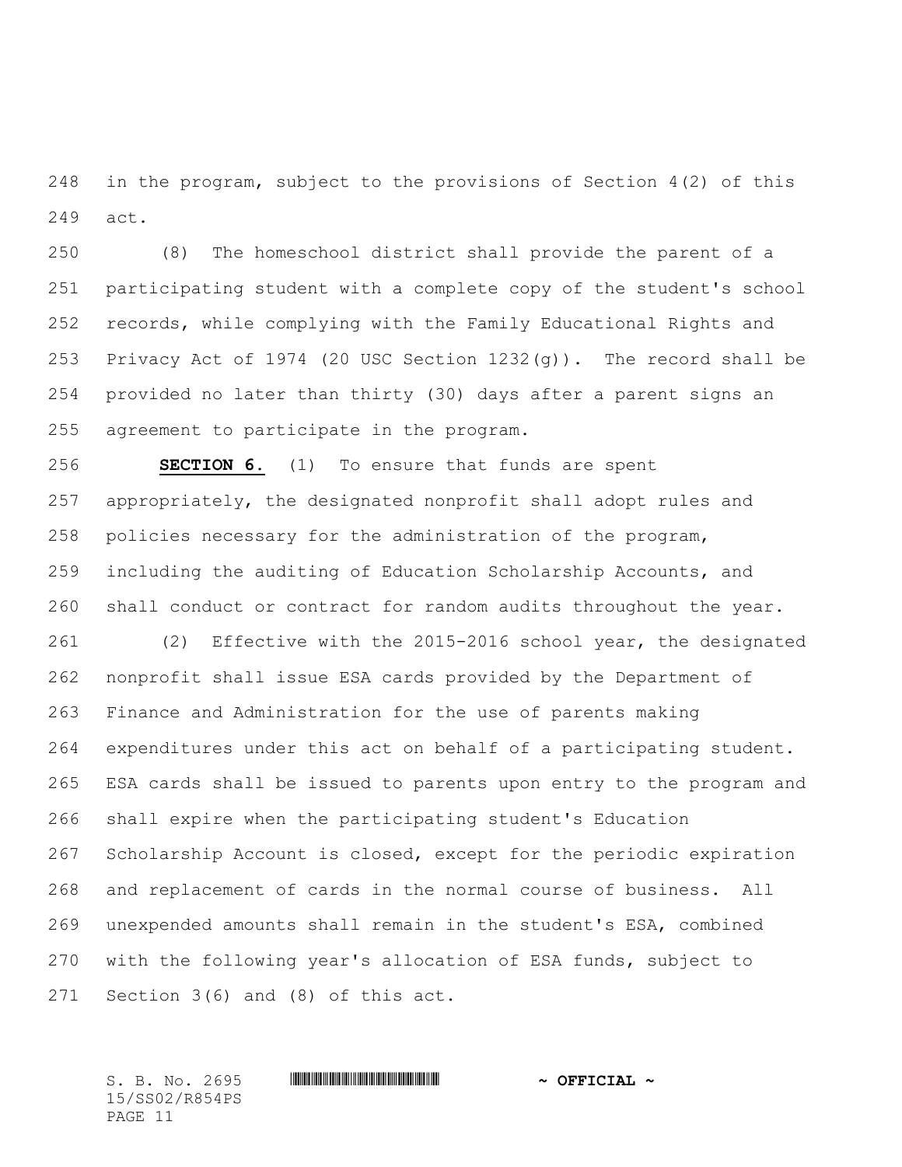in the program, subject to the provisions of Section 4(2) of this act.

 (8) The homeschool district shall provide the parent of a participating student with a complete copy of the student's school records, while complying with the Family Educational Rights and Privacy Act of 1974 (20 USC Section 1232(g)). The record shall be provided no later than thirty (30) days after a parent signs an agreement to participate in the program.

 **SECTION 6.** (1) To ensure that funds are spent appropriately, the designated nonprofit shall adopt rules and policies necessary for the administration of the program, including the auditing of Education Scholarship Accounts, and shall conduct or contract for random audits throughout the year.

 (2) Effective with the 2015-2016 school year, the designated nonprofit shall issue ESA cards provided by the Department of Finance and Administration for the use of parents making expenditures under this act on behalf of a participating student. ESA cards shall be issued to parents upon entry to the program and shall expire when the participating student's Education Scholarship Account is closed, except for the periodic expiration and replacement of cards in the normal course of business. All unexpended amounts shall remain in the student's ESA, combined with the following year's allocation of ESA funds, subject to Section 3(6) and (8) of this act.

S. B. No. 2695 **\*\*\* ASSEEM** \*\*\* **\*\*\* \*\*\* \*\*\* \*\*\* \*\*\* \*\*** \*\* **\*\* OFFICIAL \*** 15/SS02/R854PS PAGE 11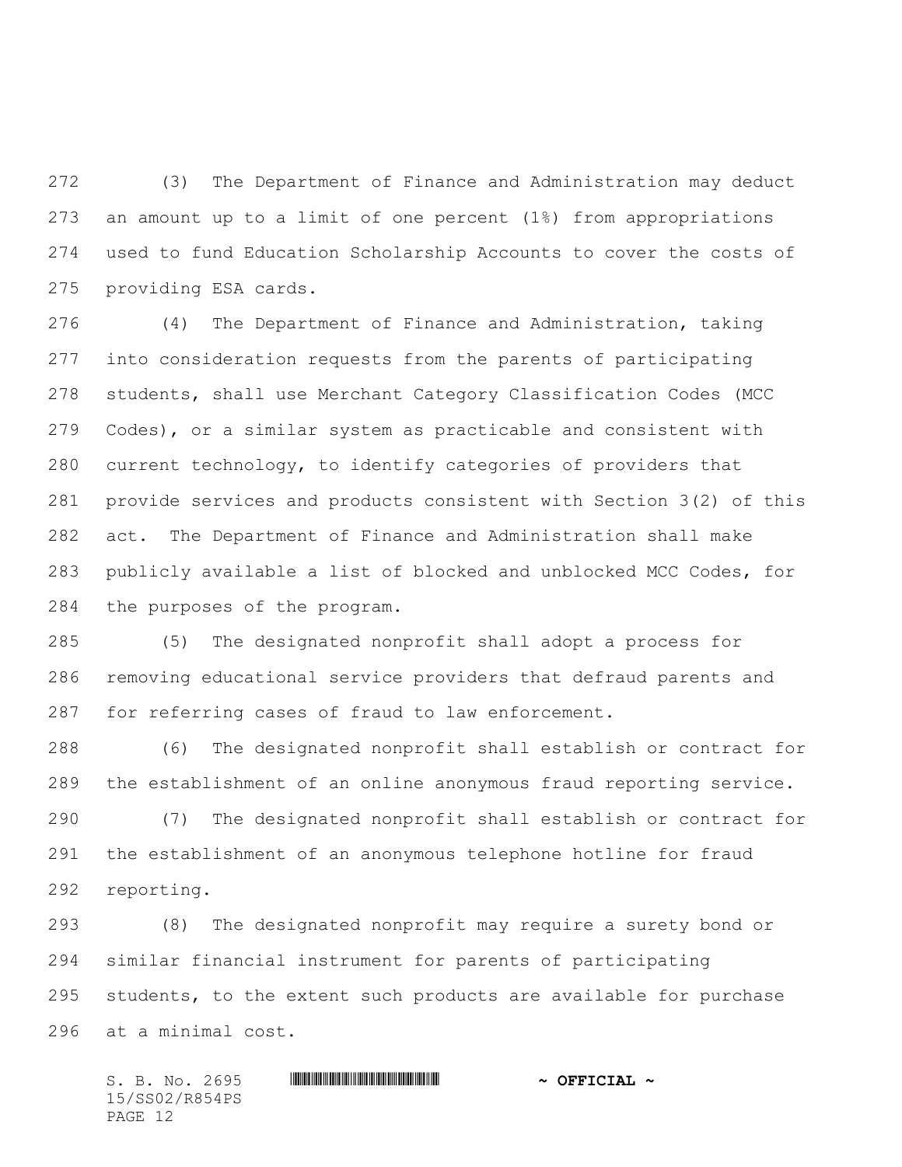(3) The Department of Finance and Administration may deduct an amount up to a limit of one percent (1%) from appropriations used to fund Education Scholarship Accounts to cover the costs of providing ESA cards.

 (4) The Department of Finance and Administration, taking into consideration requests from the parents of participating students, shall use Merchant Category Classification Codes (MCC Codes), or a similar system as practicable and consistent with current technology, to identify categories of providers that provide services and products consistent with Section 3(2) of this act. The Department of Finance and Administration shall make publicly available a list of blocked and unblocked MCC Codes, for the purposes of the program.

 (5) The designated nonprofit shall adopt a process for removing educational service providers that defraud parents and for referring cases of fraud to law enforcement.

 (6) The designated nonprofit shall establish or contract for the establishment of an online anonymous fraud reporting service.

 (7) The designated nonprofit shall establish or contract for the establishment of an anonymous telephone hotline for fraud reporting.

 (8) The designated nonprofit may require a surety bond or similar financial instrument for parents of participating students, to the extent such products are available for purchase at a minimal cost.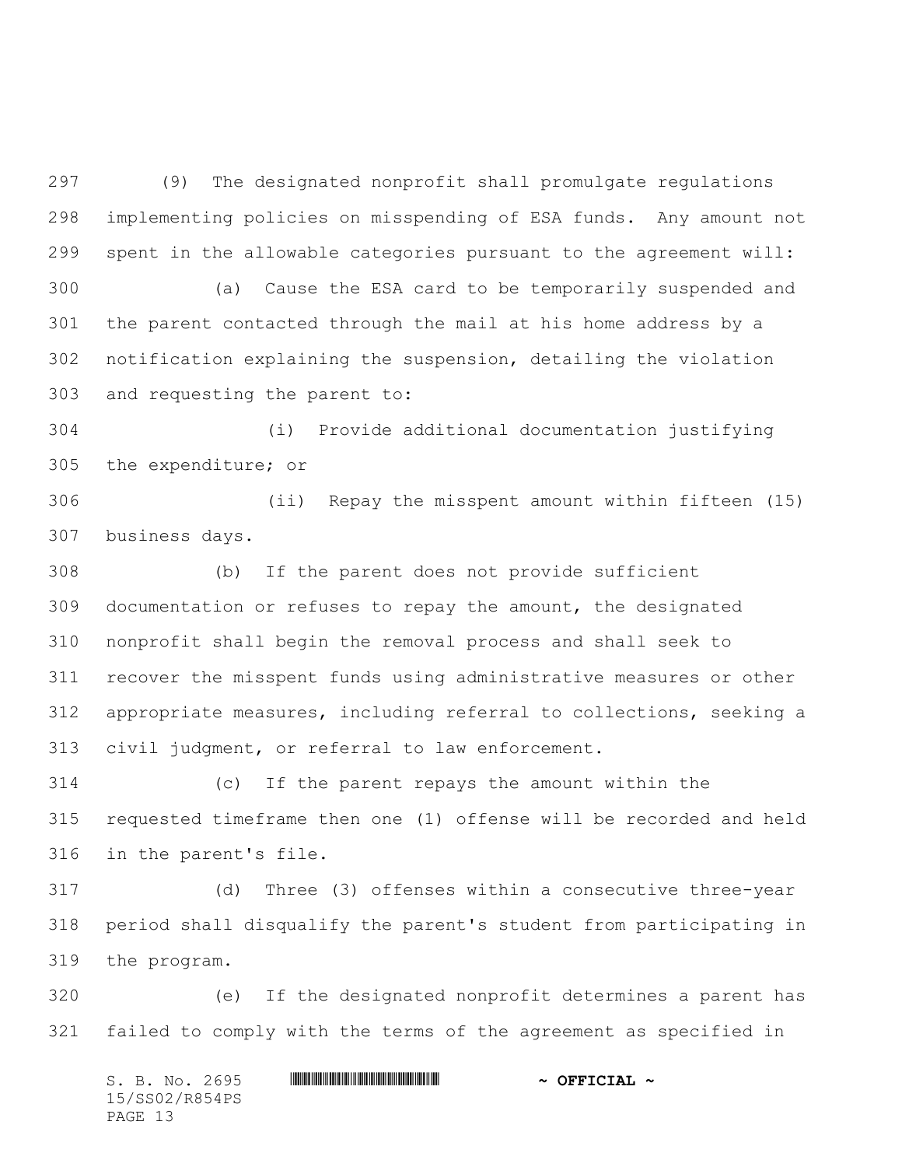(9) The designated nonprofit shall promulgate regulations implementing policies on misspending of ESA funds. Any amount not spent in the allowable categories pursuant to the agreement will: (a) Cause the ESA card to be temporarily suspended and the parent contacted through the mail at his home address by a notification explaining the suspension, detailing the violation and requesting the parent to:

 (i) Provide additional documentation justifying the expenditure; or

 (ii) Repay the misspent amount within fifteen (15) business days.

 (b) If the parent does not provide sufficient documentation or refuses to repay the amount, the designated nonprofit shall begin the removal process and shall seek to recover the misspent funds using administrative measures or other appropriate measures, including referral to collections, seeking a civil judgment, or referral to law enforcement.

 (c) If the parent repays the amount within the requested timeframe then one (1) offense will be recorded and held in the parent's file.

 (d) Three (3) offenses within a consecutive three-year period shall disqualify the parent's student from participating in the program.

 (e) If the designated nonprofit determines a parent has failed to comply with the terms of the agreement as specified in

S. B. No. 2695 **\*\*\* ASSEMBER ASSESSMENT ASSESSMENT ASSESSMENT ASSESSMENT ASSESSMENT ASSESSMENT ASSESSMENT AND ASSESSMENT AND ASSESSMENT AND ASSESSMENT AND AN OFFICIAL**  $\sim$ 15/SS02/R854PS PAGE 13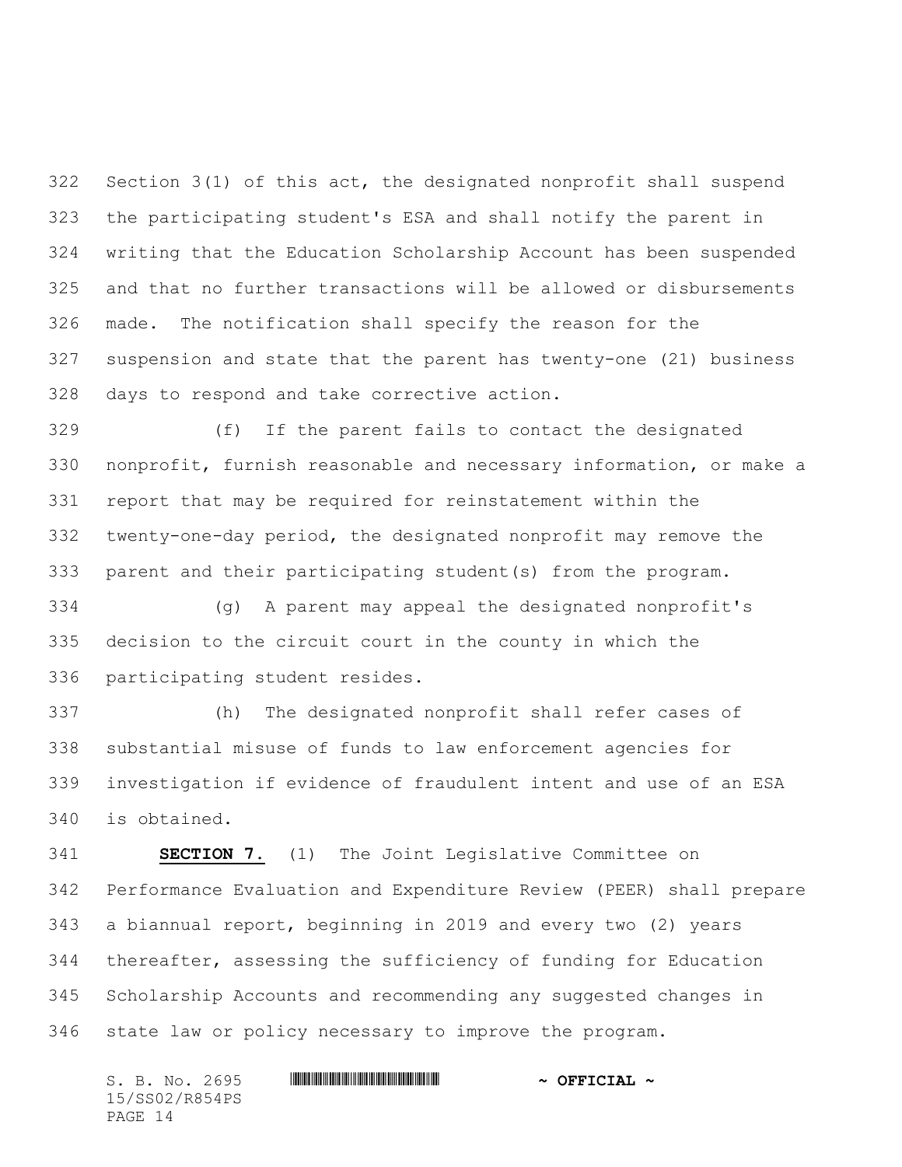Section 3(1) of this act, the designated nonprofit shall suspend the participating student's ESA and shall notify the parent in writing that the Education Scholarship Account has been suspended and that no further transactions will be allowed or disbursements made. The notification shall specify the reason for the suspension and state that the parent has twenty-one (21) business days to respond and take corrective action.

 (f) If the parent fails to contact the designated nonprofit, furnish reasonable and necessary information, or make a report that may be required for reinstatement within the twenty-one-day period, the designated nonprofit may remove the parent and their participating student(s) from the program.

 (g) A parent may appeal the designated nonprofit's decision to the circuit court in the county in which the participating student resides.

 (h) The designated nonprofit shall refer cases of substantial misuse of funds to law enforcement agencies for investigation if evidence of fraudulent intent and use of an ESA is obtained.

 **SECTION 7.** (1) The Joint Legislative Committee on Performance Evaluation and Expenditure Review (PEER) shall prepare a biannual report, beginning in 2019 and every two (2) years thereafter, assessing the sufficiency of funding for Education Scholarship Accounts and recommending any suggested changes in state law or policy necessary to improve the program.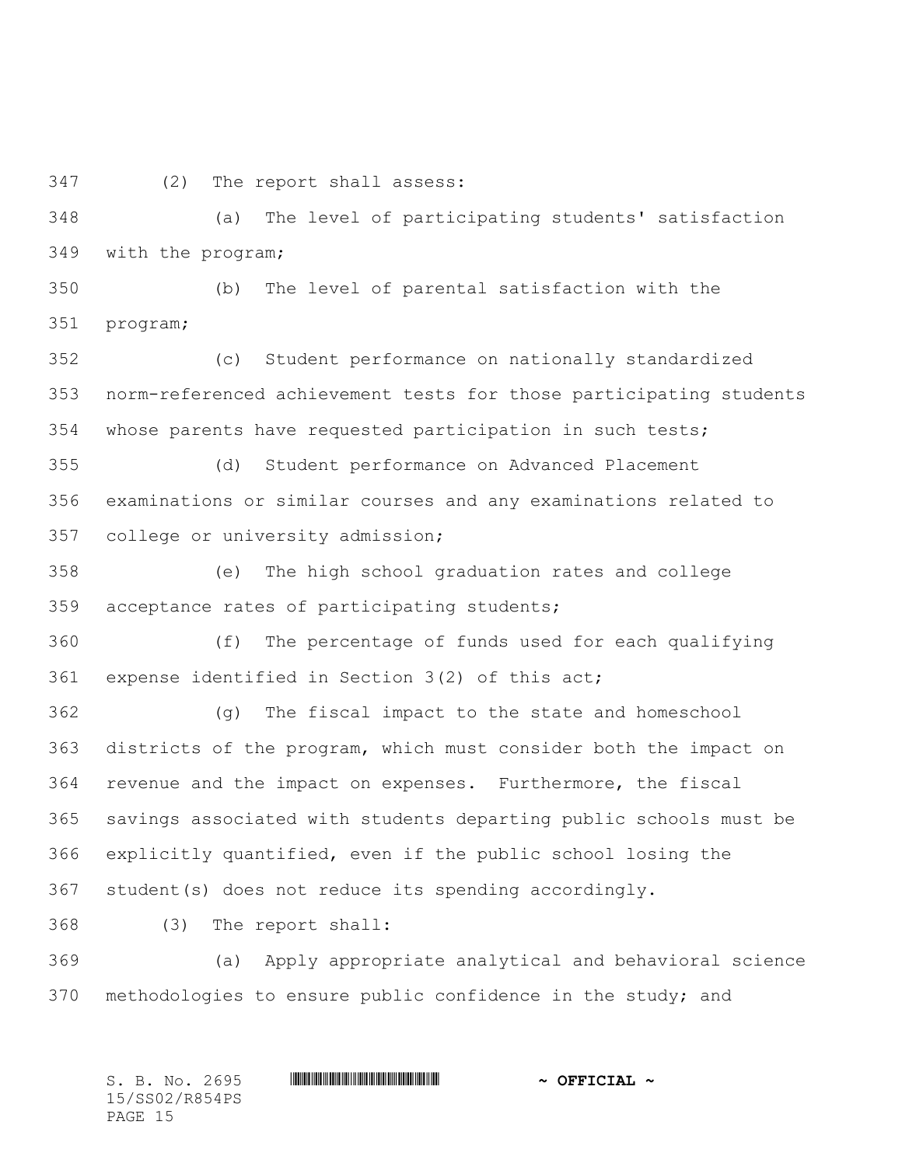(2) The report shall assess:

 (a) The level of participating students' satisfaction with the program;

 (b) The level of parental satisfaction with the program;

 (c) Student performance on nationally standardized norm-referenced achievement tests for those participating students whose parents have requested participation in such tests;

 (d) Student performance on Advanced Placement examinations or similar courses and any examinations related to college or university admission;

 (e) The high school graduation rates and college acceptance rates of participating students;

 (f) The percentage of funds used for each qualifying expense identified in Section 3(2) of this act;

 (g) The fiscal impact to the state and homeschool districts of the program, which must consider both the impact on revenue and the impact on expenses. Furthermore, the fiscal savings associated with students departing public schools must be explicitly quantified, even if the public school losing the student(s) does not reduce its spending accordingly.

(3) The report shall:

 (a) Apply appropriate analytical and behavioral science methodologies to ensure public confidence in the study; and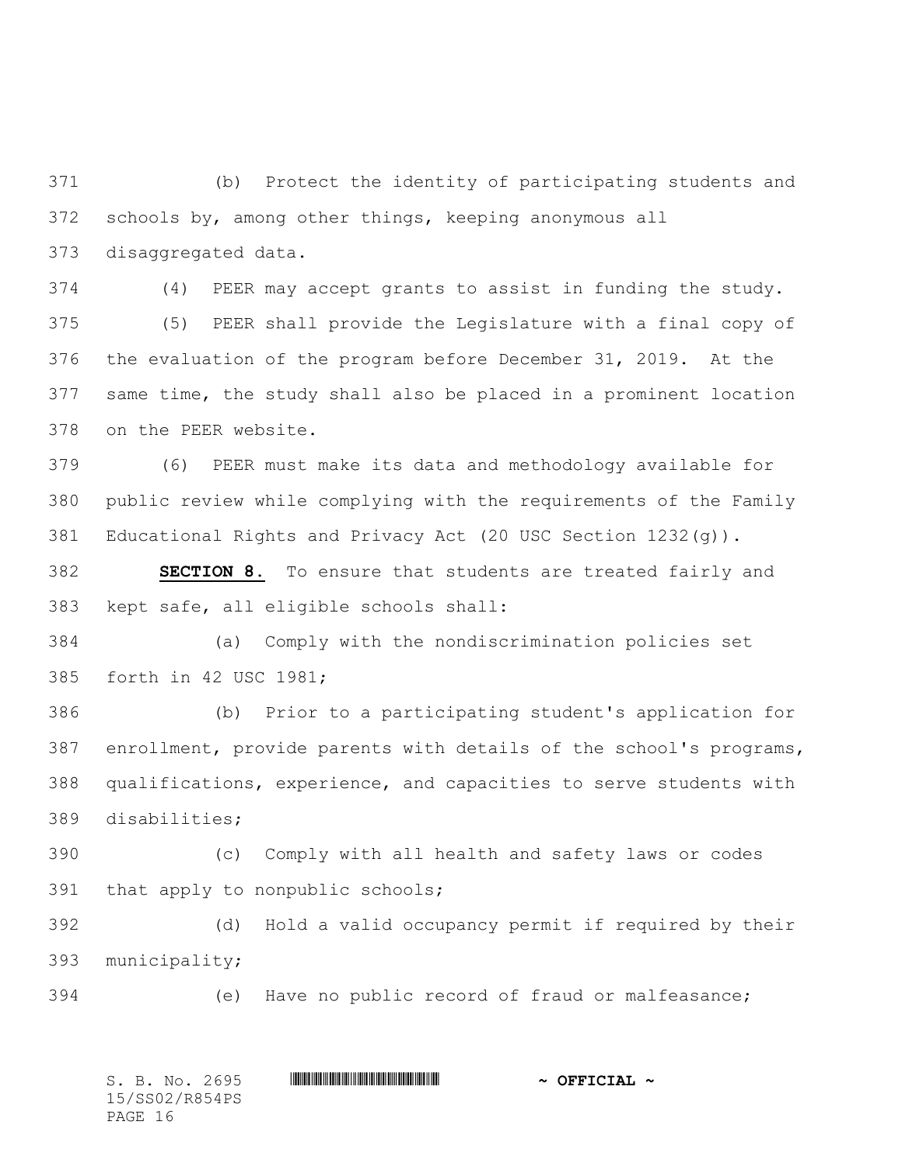(b) Protect the identity of participating students and schools by, among other things, keeping anonymous all disaggregated data.

 (4) PEER may accept grants to assist in funding the study. (5) PEER shall provide the Legislature with a final copy of the evaluation of the program before December 31, 2019. At the same time, the study shall also be placed in a prominent location on the PEER website.

 (6) PEER must make its data and methodology available for public review while complying with the requirements of the Family Educational Rights and Privacy Act (20 USC Section 1232(g)).

 **SECTION 8.** To ensure that students are treated fairly and kept safe, all eligible schools shall:

 (a) Comply with the nondiscrimination policies set forth in 42 USC 1981;

 (b) Prior to a participating student's application for enrollment, provide parents with details of the school's programs, qualifications, experience, and capacities to serve students with disabilities;

 (c) Comply with all health and safety laws or codes that apply to nonpublic schools;

 (d) Hold a valid occupancy permit if required by their municipality;

(e) Have no public record of fraud or malfeasance;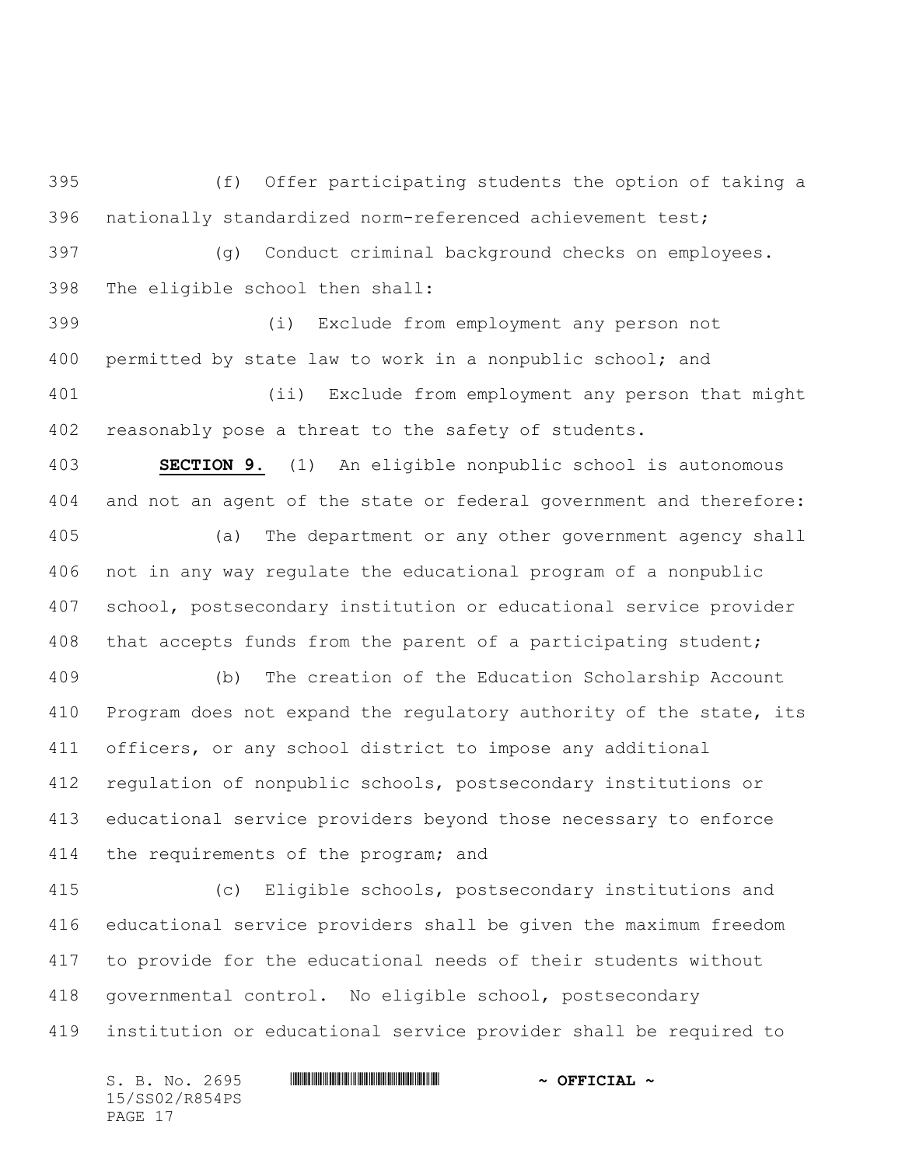(f) Offer participating students the option of taking a nationally standardized norm-referenced achievement test;

 (g) Conduct criminal background checks on employees. The eligible school then shall:

 (i) Exclude from employment any person not permitted by state law to work in a nonpublic school; and (ii) Exclude from employment any person that might

reasonably pose a threat to the safety of students.

 **SECTION 9.** (1) An eligible nonpublic school is autonomous and not an agent of the state or federal government and therefore:

 (a) The department or any other government agency shall not in any way regulate the educational program of a nonpublic school, postsecondary institution or educational service provider that accepts funds from the parent of a participating student;

 (b) The creation of the Education Scholarship Account Program does not expand the regulatory authority of the state, its officers, or any school district to impose any additional regulation of nonpublic schools, postsecondary institutions or educational service providers beyond those necessary to enforce 414 the requirements of the program; and

 (c) Eligible schools, postsecondary institutions and educational service providers shall be given the maximum freedom to provide for the educational needs of their students without governmental control. No eligible school, postsecondary institution or educational service provider shall be required to